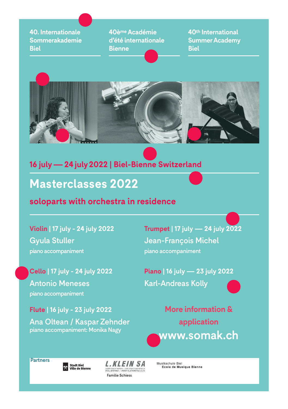**40. Internationale Sommerakademie Biel**

**40ème Académie d'été internationale Bienne**

**40th International Summer Academy Biel**



### **16 july—24 july 2022 | Biel-Bienne Switzerland**

## **Masterclasses 2022**

#### **soloparts with orchestra in residence**

**Violin | 17 july - 24 july 2022** Gyula Stuller piano accompaniment

**Cello | 17 july - 24 july 2022** Antonio Meneses piano accompaniment

**Flute | 16 july - 23 july 2022**

Ana Oltean / Kaspar Zehnder piano accompaniment: Monika Nagy

**Trumpet | 17 july — 24 july 2022** Jean-François Michel piano accompaniment

**Piano | 16 july — 23 july 2022** Karl-Andreas Kolly



**More information & application www.somak.ch**

**Partners** 

Stadt Biel<br>X Ville de Bienne

**L.KLEIN SA** ACIERS FINS ET METAUX / EDELSTANLE UND METALL:<br>BIEL/BIENNE / WWW KLEINMETALS.CI Familie Schiess

Musikschule Biel Ecole de Musique Bienne